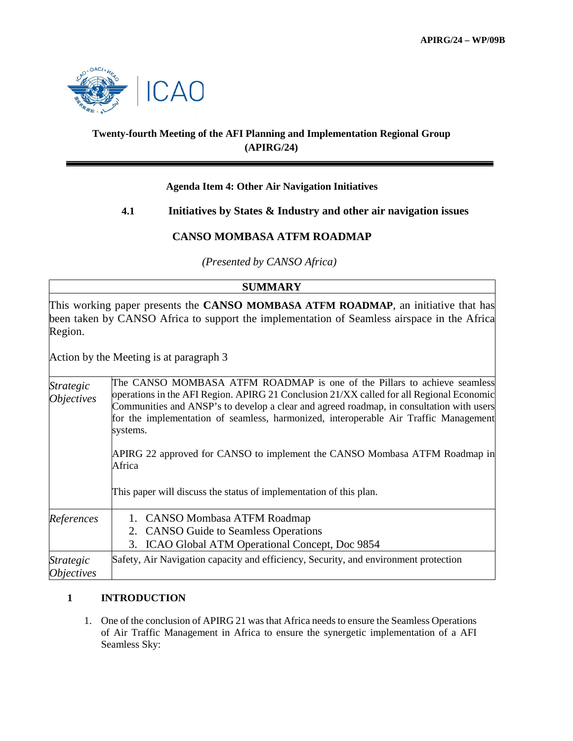

# **Twenty-fourth Meeting of the AFI Planning and Implementation Regional Group (APIRG/24)**

### **Agenda Item 4: Other Air Navigation Initiatives**

# **4.1 Initiatives by States & Industry and other air navigation issues**

# **CANSO MOMBASA ATFM ROADMAP**

 *(Presented by CANSO Africa)*

# **SUMMARY**

This working paper presents the **CANSO MOMBASA ATFM ROADMAP**, an initiative that has been taken by CANSO Africa to support the implementation of Seamless airspace in the Africa Region.

Action by the Meeting is at paragraph 3

*Strategic Objectives* The CANSO MOMBASA ATFM ROADMAP is one of the Pillars to achieve seamless operations in the AFI Region. APIRG 21 Conclusion 21/XX called for all Regional Economic Communities and ANSP's to develop a clear and agreed roadmap, in consultation with users for the implementation of seamless, harmonized, interoperable Air Traffic Management systems. APIRG 22 approved for CANSO to implement the CANSO Mombasa ATFM Roadmap in Africa This paper will discuss the status of implementation of this plan. *References* 1. CANSO Mombasa ATFM Roadmap 2. CANSO Guide to Seamless Operations 3. ICAO Global ATM Operational Concept, Doc 9854 *Strategic Objectives* Safety, Air Navigation capacity and efficiency, Security, and environment protection

### **1 INTRODUCTION**

1. One of the conclusion of APIRG 21 was that Africa needs to ensure the Seamless Operations of Air Traffic Management in Africa to ensure the synergetic implementation of a AFI Seamless Sky: